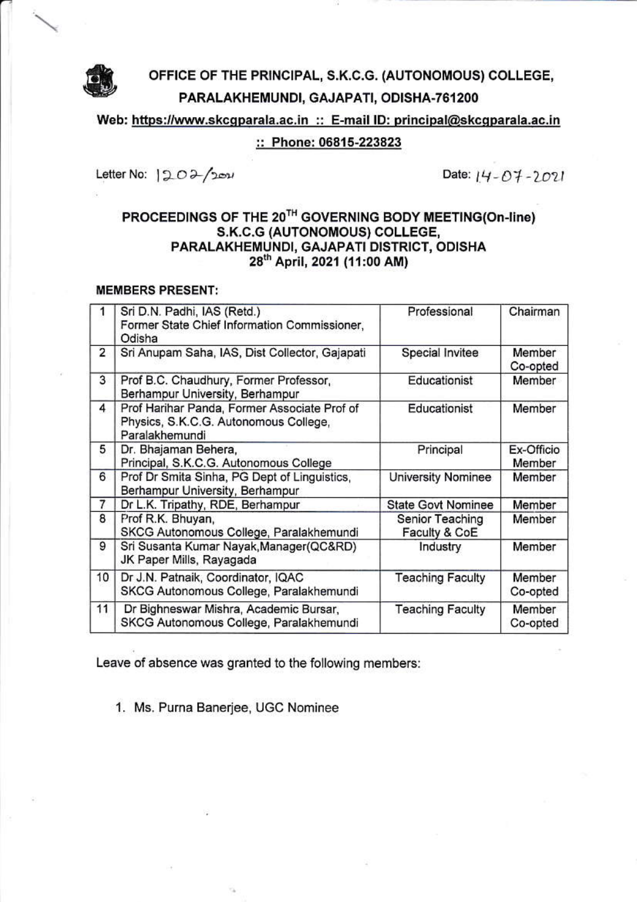

Web: https://www.skcgparala.ac.in :: E-mail ID: principal@skcgparala.ac.in

## :: Phone: 06815-223823

Letter No: 1202/2021

Date: 14-07-2021

## PROCEEDINGS OF THE 20<sup>TH</sup> GOVERNING BODY MEETING(On-line) S.K.C.G (AUTONOMOUS) COLLEGE, PARALAKHEMUNDI, GAJAPATI DISTRICT, ODISHA 28th April, 2021 (11:00 AM)

## **MEMBERS PRESENT:**

|                | Sri D.N. Padhi, IAS (Retd.)<br>Former State Chief Information Commissioner,<br>Odisha                   | Professional                     | Chairman             |
|----------------|---------------------------------------------------------------------------------------------------------|----------------------------------|----------------------|
| $\overline{2}$ | Sri Anupam Saha, IAS, Dist Collector, Gajapati                                                          | Special Invitee                  | Member<br>Co-opted   |
| 3              | Prof B.C. Chaudhury, Former Professor,<br>Berhampur University, Berhampur                               | Educationist                     | Member               |
| 4              | Prof Harihar Panda, Former Associate Prof of<br>Physics, S.K.C.G. Autonomous College,<br>Paralakhemundi | Educationist                     | Member               |
| 5              | Dr. Bhajaman Behera,<br>Principal, S.K.C.G. Autonomous College                                          | Principal                        | Ex-Officio<br>Member |
| 6              | Prof Dr Smita Sinha, PG Dept of Linguistics,<br>Berhampur University, Berhampur                         | <b>University Nominee</b>        | Member               |
| 7              | Dr L.K. Tripathy, RDE, Berhampur                                                                        | <b>State Govt Nominee</b>        | Member               |
| 8              | Prof R.K. Bhuyan,<br>SKCG Autonomous College, Paralakhemundi                                            | Senior Teaching<br>Faculty & CoE | Member               |
| 9              | Sri Susanta Kumar Nayak, Manager (QC&RD)<br>JK Paper Mills, Rayagada                                    | Industry                         | Member               |
| 10             | Dr J.N. Patnaik, Coordinator, IQAC<br>SKCG Autonomous College, Paralakhemundi                           | <b>Teaching Faculty</b>          | Member<br>Co-opted   |
| 11             | Dr Bighneswar Mishra, Academic Bursar,<br>SKCG Autonomous College, Paralakhemundi                       | <b>Teaching Faculty</b>          | Member<br>Co-opted   |

Leave of absence was granted to the following members:

1. Ms. Purna Banerjee, UGC Nominee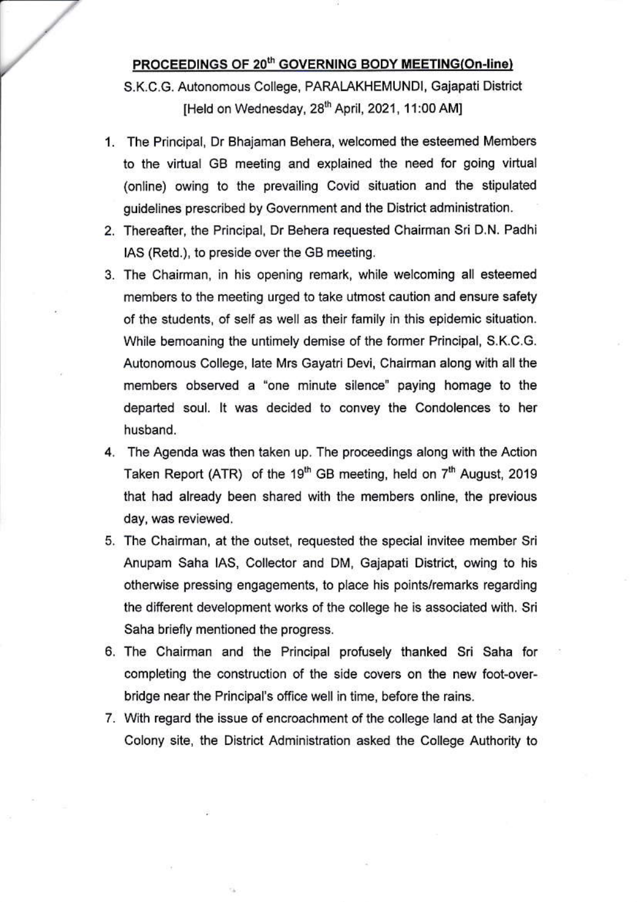## PROCEEDINGS OF 20th GOVERNING BODY MEETING(On-line)

S.K.C.G. Autonomous College, PARALAKHEMUNDI, Gajapati District [Held on Wednesday, 28<sup>th</sup> April, 2021, 11:00 AM]

- 1. The Principal, Dr Bhajaman Behera, welcomed the esteemed Members to the virtual GB meeting and explained the need for going virtual (online) owing to the prevailing Covid situation and the stipulated quidelines prescribed by Government and the District administration.
- 2. Thereafter, the Principal, Dr Behera requested Chairman Sri D.N. Padhi IAS (Retd.), to preside over the GB meeting.
- 3. The Chairman, in his opening remark, while welcoming all esteemed members to the meeting urged to take utmost caution and ensure safety of the students, of self as well as their family in this epidemic situation. While bemoaning the untimely demise of the former Principal, S.K.C.G. Autonomous College, late Mrs Gayatri Devi, Chairman along with all the members observed a "one minute silence" paying homage to the departed soul. It was decided to convey the Condolences to her husband.
- 4. The Agenda was then taken up. The proceedings along with the Action Taken Report (ATR) of the 19<sup>th</sup> GB meeting, held on 7<sup>th</sup> August, 2019 that had already been shared with the members online, the previous day, was reviewed.
- 5. The Chairman, at the outset, requested the special invitee member Sri Anupam Saha IAS, Collector and DM, Gajapati District, owing to his otherwise pressing engagements, to place his points/remarks regarding the different development works of the college he is associated with. Sri Saha briefly mentioned the progress.
- 6. The Chairman and the Principal profusely thanked Sri Saha for completing the construction of the side covers on the new foot-overbridge near the Principal's office well in time, before the rains.
- 7. With regard the issue of encroachment of the college land at the Sanjay Colony site, the District Administration asked the College Authority to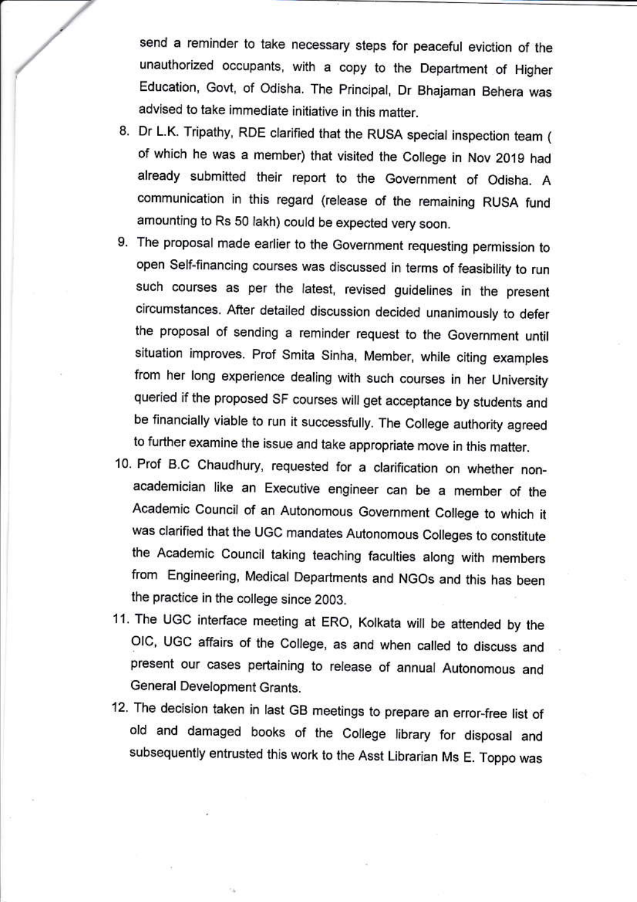send a reminder to take necessary steps for peaceful eviction of the unauthorized occupants, with a copy to the Department of Higher Education, Govt, of Odisha. The Principal, Dr Bhajaman Behera was advised to take immediate initiative in this matter.

- 8. Dr L.K. Tripathy, RDE clarified that the RUSA special inspection team ( of which he was a member) that visited the College in Nov 2019 had already submitted their report to the Government of Odisha. A communication in this regard (release of the remaining RUSA fund amounting to Rs 50 lakh) could be expected very soon.
- 9. The proposal made earlier to the Government requesting permission to open Self-financing courses was discussed in terms of feasibility to run such courses as per the latest, revised guidelines in the present circumstances. After detailed discussion decided unanimously to defer the proposal of sending a reminder request to the Government until situation improves. Prof Smita Sinha, Member, while citing examples from her long experience dealing with such courses in her University queried if the proposed SF courses will get acceptance by students and be financially viable to run it successfully. The College authority agreed to further examine the issue and take appropriate move in this matter.
- 10. Prof B.C Chaudhury, requested for a clarification on whether nonacademician like an Executive engineer can be a member of the Academic Council of an Autonomous Government College to which it was clarified that the UGC mandates Autonomous Colleges to constitute the Academic Council taking teaching faculties along with members from Engineering, Medical Departments and NGOs and this has been the practice in the college since 2003.
- 11. The UGC interface meeting at ERO, Kolkata will be attended by the OIC, UGC affairs of the College, as and when called to discuss and present our cases pertaining to release of annual Autonomous and General Development Grants.
- 12. The decision taken in last GB meetings to prepare an error-free list of old and damaged books of the College library for disposal and subsequently entrusted this work to the Asst Librarian Ms E. Toppo was